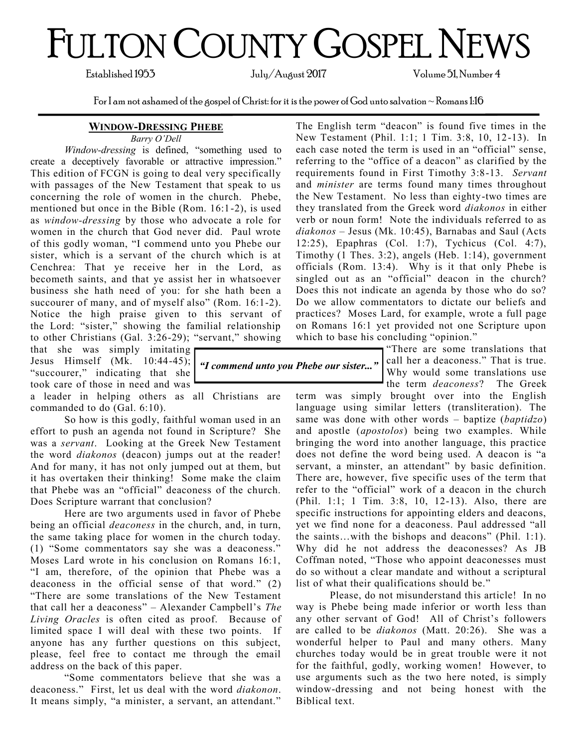# FULTON COUNTY GOSPEL NEWS

Established 1953 July/August 2017 Volume 51, Number 4

For I am not ashamed of the gospel of Christ: for it is the power of God unto salvation  $\sim$  Romans 1:16

#### **WINDOW-DRESSING PHEBE**

*Barry O'Dell*

*Window-dressing* is defined, "something used to create a deceptively favorable or attractive impression." This edition of FCGN is going to deal very specifically with passages of the New Testament that speak to us concerning the role of women in the church. Phebe, mentioned but once in the Bible (Rom. 16:1-2), is used as *window-dressing* by those who advocate a role for women in the church that God never did. Paul wrote of this godly woman, "I commend unto you Phebe our sister, which is a servant of the church which is at Cenchrea: That ye receive her in the Lord, as becometh saints, and that ye assist her in whatsoever business she hath need of you: for she hath been a succourer of many, and of myself also" (Rom. 16:1-2). Notice the high praise given to this servant of the Lord: "sister," showing the familial relationship to other Christians (Gal. 3:26-29); "servant," showing

that she was simply imitating "succourer," indicating that she took care of those in need and was

a leader in helping others as all Christians are commanded to do (Gal. 6:10).

So how is this godly, faithful woman used in an effort to push an agenda not found in Scripture? She was a *servant*. Looking at the Greek New Testament the word *diakonos* (deacon) jumps out at the reader! And for many, it has not only jumped out at them, but it has overtaken their thinking! Some make the claim that Phebe was an "official" deaconess of the church. Does Scripture warrant that conclusion?

Here are two arguments used in favor of Phebe being an official *deaconess* in the church, and, in turn, the same taking place for women in the church today. (1) "Some commentators say she was a deaconess." Moses Lard wrote in his conclusion on Romans 16:1, "I am, therefore, of the opinion that Phebe was a deaconess in the official sense of that word." (2) "There are some translations of the New Testament that call her a deaconess" – Alexander Campbell's *The Living Oracles* is often cited as proof. Because of limited space I will deal with these two points. If anyone has any further questions on this subject, please, feel free to contact me through the email address on the back of this paper.

"Some commentators believe that she was a deaconess." First, let us deal with the word *diakonon*. It means simply, "a minister, a servant, an attendant."

The English term "deacon" is found five times in the New Testament (Phil. 1:1; 1 Tim. 3:8, 10, 12-13). In each case noted the term is used in an "official" sense, referring to the "office of a deacon" as clarified by the requirements found in First Timothy 3:8-13. *Servant* and *minister* are terms found many times throughout the New Testament. No less than eighty-two times are they translated from the Greek word *diakonos* in either verb or noun form! Note the individuals referred to as *diakonos* – Jesus (Mk. 10:45), Barnabas and Saul (Acts 12:25), Epaphras (Col. 1:7), Tychicus (Col. 4:7), Timothy (1 Thes. 3:2), angels (Heb. 1:14), government officials (Rom. 13:4). Why is it that only Phebe is singled out as an "official" deacon in the church? Does this not indicate an agenda by those who do so? Do we allow commentators to dictate our beliefs and practices? Moses Lard, for example, wrote a full page on Romans 16:1 yet provided not one Scripture upon which to base his concluding "opinion."

Jesus Himself  $(Mk. 10:44-45)$ ;  $\int dI$  *commend unto you Phebe our sister...*"  $\begin{bmatrix} \text{call her a deacones.} \\ \text{Whermed degree} \\ \text{Whermed degree} \end{bmatrix}$ There are some translations that Why would some translations use the term *deaconess*? The Greek

> term was simply brought over into the English language using similar letters (transliteration). The same was done with other words – baptize (*baptidzo*) and apostle (*apostolos*) being two examples. While bringing the word into another language, this practice does not define the word being used. A deacon is "a servant, a minster, an attendant" by basic definition. There are, however, five specific uses of the term that refer to the "official" work of a deacon in the church (Phil. 1:1; 1 Tim. 3:8, 10, 12-13). Also, there are specific instructions for appointing elders and deacons, yet we find none for a deaconess. Paul addressed "all the saints…with the bishops and deacons" (Phil. 1:1). Why did he not address the deaconesses? As JB Coffman noted, "Those who appoint deaconesses must do so without a clear mandate and without a scriptural list of what their qualifications should be."

> Please, do not misunderstand this article! In no way is Phebe being made inferior or worth less than any other servant of God! All of Christ's followers are called to be *diakonos* (Matt. 20:26). She was a wonderful helper to Paul and many others. Many churches today would be in great trouble were it not for the faithful, godly, working women! However, to use arguments such as the two here noted, is simply window-dressing and not being honest with the Biblical text.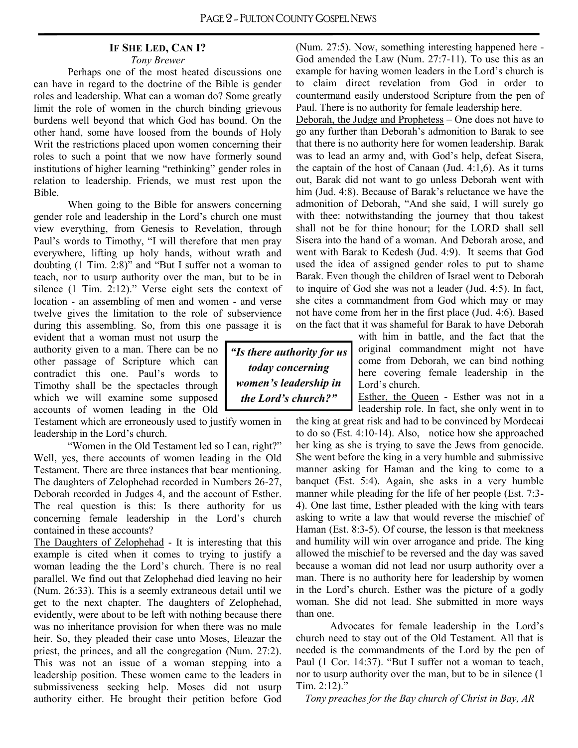#### **IF SHE LED, CAN I?** *Tony Brewer*

Perhaps one of the most heated discussions one can have in regard to the doctrine of the Bible is gender roles and leadership. What can a woman do? Some greatly limit the role of women in the church binding grievous burdens well beyond that which God has bound. On the other hand, some have loosed from the bounds of Holy Writ the restrictions placed upon women concerning their roles to such a point that we now have formerly sound institutions of higher learning "rethinking" gender roles in relation to leadership. Friends, we must rest upon the Bible.

When going to the Bible for answers concerning gender role and leadership in the Lord's church one must view everything, from Genesis to Revelation, through Paul's words to Timothy, "I will therefore that men pray everywhere, lifting up holy hands, without wrath and doubting (1 Tim. 2:8)" and "But I suffer not a woman to teach, nor to usurp authority over the man, but to be in silence (1 Tim. 2:12)." Verse eight sets the context of location - an assembling of men and women - and verse twelve gives the limitation to the role of subservience during this assembling. So, from this one passage it is

evident that a woman must not usurp the authority given to a man. There can be no other passage of Scripture which can contradict this one. Paul's words to Timothy shall be the spectacles through which we will examine some supposed accounts of women leading in the Old

Testament which are erroneously used to justify women in leadership in the Lord's church.

"Women in the Old Testament led so I can, right?" Well, yes, there accounts of women leading in the Old Testament. There are three instances that bear mentioning. The daughters of Zelophehad recorded in Numbers 26-27, Deborah recorded in Judges 4, and the account of Esther. The real question is this: Is there authority for us concerning female leadership in the Lord's church contained in these accounts?

The Daughters of Zelophehad - It is interesting that this example is cited when it comes to trying to justify a woman leading the the Lord's church. There is no real parallel. We find out that Zelophehad died leaving no heir (Num. 26:33). This is a seemly extraneous detail until we get to the next chapter. The daughters of Zelophehad, evidently, were about to be left with nothing because there was no inheritance provision for when there was no male heir. So, they pleaded their case unto Moses, Eleazar the priest, the princes, and all the congregation (Num. 27:2). This was not an issue of a woman stepping into a leadership position. These women came to the leaders in submissiveness seeking help. Moses did not usurp authority either. He brought their petition before God (Num. 27:5). Now, something interesting happened here - God amended the Law (Num. 27:7-11). To use this as an example for having women leaders in the Lord's church is to claim direct revelation from God in order to countermand easily understood Scripture from the pen of Paul. There is no authority for female leadership here.

Deborah, the Judge and Prophetess – One does not have to go any further than Deborah's admonition to Barak to see that there is no authority here for women leadership. Barak was to lead an army and, with God's help, defeat Sisera, the captain of the host of Canaan (Jud. 4:1,6). As it turns out, Barak did not want to go unless Deborah went with him (Jud. 4:8). Because of Barak's reluctance we have the admonition of Deborah, "And she said, I will surely go with thee: notwithstanding the journey that thou takest shall not be for thine honour; for the LORD shall sell Sisera into the hand of a woman. And Deborah arose, and went with Barak to Kedesh (Jud. 4:9). It seems that God used the idea of assigned gender roles to put to shame Barak. Even though the children of Israel went to Deborah to inquire of God she was not a leader (Jud. 4:5). In fact, she cites a commandment from God which may or may not have come from her in the first place (Jud. 4:6). Based on the fact that it was shameful for Barak to have Deborah

*"Is there authority for us today concerning women's leadership in the Lord's church?"*

with him in battle, and the fact that the original commandment might not have come from Deborah, we can bind nothing here covering female leadership in the Lord's church.

Esther, the Queen - Esther was not in a leadership role. In fact, she only went in to

the king at great risk and had to be convinced by Mordecai to do so (Est. 4:10-14). Also, notice how she approached her king as she is trying to save the Jews from genocide. She went before the king in a very humble and submissive manner asking for Haman and the king to come to a banquet (Est. 5:4). Again, she asks in a very humble manner while pleading for the life of her people (Est. 7:3- 4). One last time, Esther pleaded with the king with tears asking to write a law that would reverse the mischief of Haman (Est. 8:3-5). Of course, the lesson is that meekness and humility will win over arrogance and pride. The king allowed the mischief to be reversed and the day was saved because a woman did not lead nor usurp authority over a man. There is no authority here for leadership by women in the Lord's church. Esther was the picture of a godly woman. She did not lead. She submitted in more ways than one.

Advocates for female leadership in the Lord's church need to stay out of the Old Testament. All that is needed is the commandments of the Lord by the pen of Paul (1 Cor. 14:37). "But I suffer not a woman to teach, nor to usurp authority over the man, but to be in silence (1 Tim. 2:12)."

*Tony preaches for the Bay church of Christ in Bay, AR*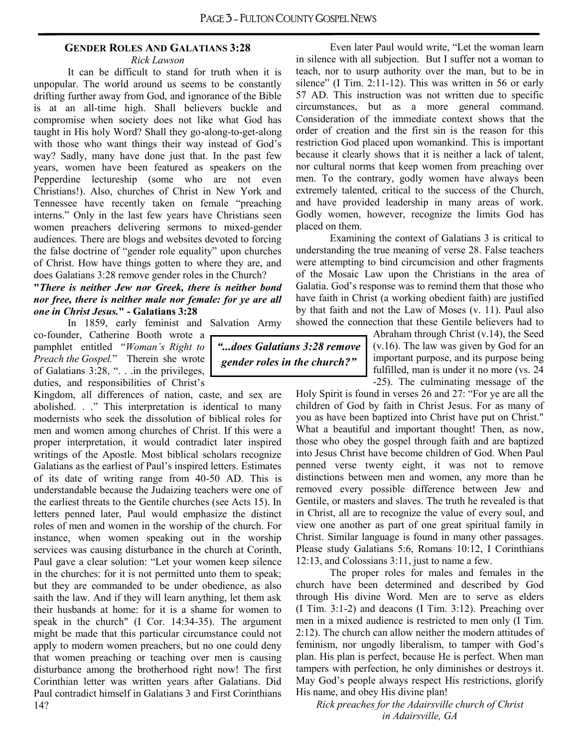#### **GENDER ROLES AND GALATIANS 3:28**

#### *Rick Lawson*

It can be difficult to stand for truth when it is unpopular. The world around us seems to be constantly drifting further away from God, and ignorance of the Bible is at an all-time high. Shall believers buckle and compromise when society does not like what God has taught in His holy Word? Shall they go-along-to-get-along with those who want things their way instead of God's way? Sadly, many have done just that. In the past few years, women have been featured as speakers on the Pepperdine lectureship (some who are not even Christians!). Also, churches of Christ in New York and Tennessee have recently taken on female "preaching interns." Only in the last few years have Christians seen women preachers delivering sermons to mixed-gender audiences. There are blogs and websites devoted to forcing the false doctrine of "gender role equality" upon churches of Christ. How have things gotten to where they are, and does Galatians 3:28 remove gender roles in the Church?

#### **"***There is neither Jew nor Greek, there is neither bond nor free, there is neither male nor female: for ye are all one in Christ Jesus.***" - Galatians 3:28**

In 1859, early feminist and Salvation Army co-founder, Catherine Booth wrote a pamphlet entitled "*Woman's Right to Preach the Gospel.*" Therein she wrote of Galatians 3:28, ". . .in the privileges, duties, and responsibilities of Christ's

Kingdom, all differences of nation, caste, and sex are abolished. . ." This interpretation is identical to many modernists who seek the dissolution of biblical roles for men and women among churches of Christ. If this were a proper interpretation, it would contradict later inspired writings of the Apostle. Most biblical scholars recognize Galatians as the earliest of Paul's inspired letters. Estimates of its date of writing range from 40-50 AD. This is understandable because the Judaizing teachers were one of the earliest threats to the Gentile churches (see Acts 15). In letters penned later, Paul would emphasize the distinct roles of men and women in the worship of the church. For instance, when women speaking out in the worship services was causing disturbance in the church at Corinth, Paul gave a clear solution: "Let your women keep silence in the churches: for it is not permitted unto them to speak; but they are commanded to be under obedience, as also saith the law. And if they will learn anything, let them ask their husbands at home: for it is a shame for women to speak in the church" (I Cor. 14:34-35). The argument might be made that this particular circumstance could not apply to modern women preachers, but no one could deny that women preaching or teaching over men is causing disturbance among the brotherhood right now! The first Corinthian letter was written years after Galatians. Did Paul contradict himself in Galatians 3 and First Corinthians 14?

Even later Paul would write, "Let the woman learn in silence with all subjection. But I suffer not a woman to teach, nor to usurp authority over the man, but to be in silence" (I Tim. 2:11-12). This was written in 56 or early 57 AD. This instruction was not written due to specific circumstances, but as a more general command. Consideration of the immediate context shows that the order of creation and the first sin is the reason for this restriction God placed upon womankind. This is important because it clearly shows that it is neither a lack of talent, nor cultural norms that keep women from preaching over men. To the contrary, godly women have always been extremely talented, critical to the success of the Church, and have provided leadership in many areas of work. Godly women, however, recognize the limits God has placed on them.

Examining the context of Galatians 3 is critical to understanding the true meaning of verse 28. False teachers were attempting to bind circumcision and other fragments of the Mosaic Law upon the Christians in the area of Galatia. God's response was to remind them that those who have faith in Christ (a working obedient faith) are justified by that faith and not the Law of Moses (v. 11). Paul also showed the connection that these Gentile believers had to

> Abraham through Christ (v.14), the Seed (v.16). The law was given by God for an important purpose, and its purpose being fulfilled, man is under it no more (vs. 24 -25). The culminating message of the

Holy Spirit is found in verses 26 and 27: "For ye are all the children of God by faith in Christ Jesus. For as many of you as have been baptized into Christ have put on Christ." What a beautiful and important thought! Then, as now, those who obey the gospel through faith and are baptized into Jesus Christ have become children of God. When Paul penned verse twenty eight, it was not to remove distinctions between men and women, any more than he removed every possible difference between Jew and Gentile, or masters and slaves. The truth he revealed is that in Christ, all are to recognize the value of every soul, and view one another as part of one great spiritual family in Christ. Similar language is found in many other passages. Please study Galatians 5:6, Romans 10:12, I Corinthians 12:13, and Colossians 3:11, just to name a few.

The proper roles for males and females in the church have been determined and described by God through His divine Word. Men are to serve as elders (I Tim. 3:1-2) and deacons (I Tim. 3:12). Preaching over men in a mixed audience is restricted to men only (I Tim. 2:12). The church can allow neither the modern attitudes of feminism, nor ungodly liberalism, to tamper with God's plan. His plan is perfect, because He is perfect. When man tampers with perfection, he only diminishes or destroys it. May God's people always respect His restrictions, glorify His name, and obey His divine plan!

*Rick preaches for the Adairsville church of Christ in Adairsville, GA*

*"...does Galatians 3:28 remove gender roles in the church?"*